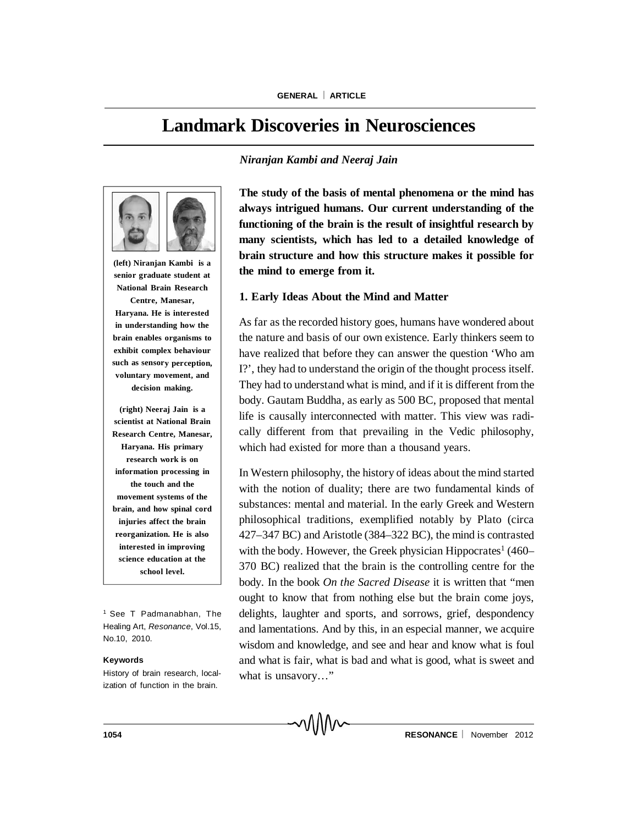# **Landmark Discoveries in Neurosciences**

#### *Niranjan Kambi and Neeraj Jain*



**(left) Niranjan Kambi is a senior graduate student at National Brain Research Centre, Manesar, Haryana. He is interested in understanding how the brain enables organisms to exhibit complex behaviour such as sensory perception,**

**voluntary movement, and decision making.**

**(right) Neeraj Jain is a scientist at National Brain Research Centre, Manesar, Haryana. His primary research work is on information processing in the touch and the movement systems of the brain, and how spinal cord injuries affect the brain reorganization. He is also interested in improving science education at the school level.**

<sup>1</sup> See T Padmanabhan, The Healing Art, *Resonance*, Vol.15, No.10, 2010.

#### **Keywords**

History of brain research, localization of function in the brain.

**The study of the basis of mental phenomena or the mind has always intrigued humans. Our current understanding of the functioning of the brain is the result of insightful research by many scientists, which has led to a detailed knowledge of brain structure and how this structure makes it possible for the mind to emerge from it.**

#### **1. Early Ideas About the Mind and Matter**

As far as the recorded history goes, humans have wondered about the nature and basis of our own existence. Early thinkers seem to have realized that before they can answer the question 'Who am I?', they had to understand the origin of the thought process itself. They had to understand what is mind, and if it is different from the body. Gautam Buddha, as early as 500 BC, proposed that mental life is causally interconnected with matter. This view was radically different from that prevailing in the Vedic philosophy, which had existed for more than a thousand years.

In Western philosophy, the history of ideas about the mind started with the notion of duality; there are two fundamental kinds of substances: mental and material. In the early Greek and Western philosophical traditions, exemplified notably by Plato (circa 427–347 BC) and Aristotle (384–322 BC), the mind is contrasted with the body. However, the Greek physician Hippocrates<sup>1</sup> (460– 370 BC) realized that the brain is the controlling centre for the body. In the book *On the Sacred Disease* it is written that "men ought to know that from nothing else but the brain come joys, delights, laughter and sports, and sorrows, grief, despondency and lamentations. And by this, in an especial manner, we acquire wisdom and knowledge, and see and hear and know what is foul and what is fair, what is bad and what is good, what is sweet and what is unsavory…"

MM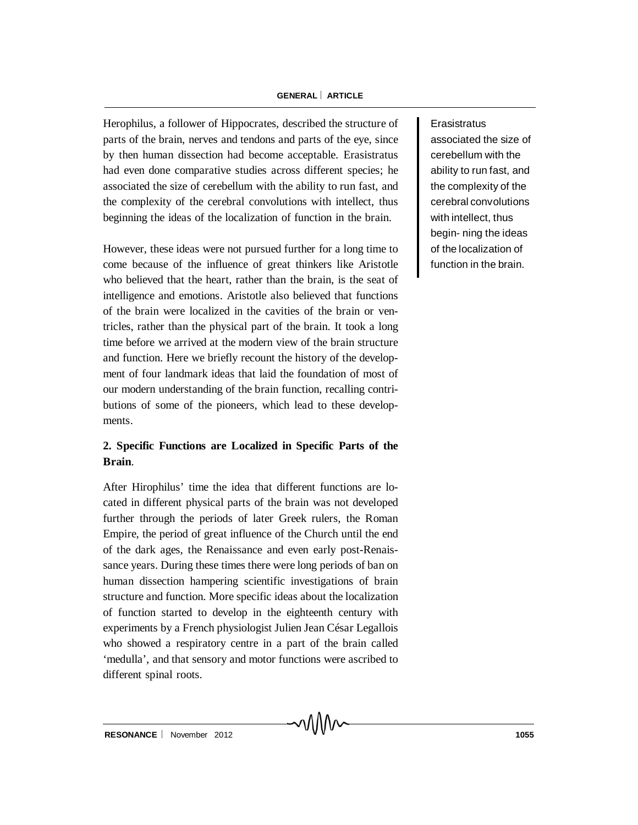Herophilus, a follower of Hippocrates, described the structure of parts of the brain, nerves and tendons and parts of the eye, since by then human dissection had become acceptable. Erasistratus had even done comparative studies across different species; he associated the size of cerebellum with the ability to run fast, and the complexity of the cerebral convolutions with intellect, thus beginning the ideas of the localization of function in the brain.

However, these ideas were not pursued further for a long time to come because of the influence of great thinkers like Aristotle who believed that the heart, rather than the brain, is the seat of intelligence and emotions. Aristotle also believed that functions of the brain were localized in the cavities of the brain or ventricles, rather than the physical part of the brain. It took a long time before we arrived at the modern view of the brain structure and function. Here we briefly recount the history of the development of four landmark ideas that laid the foundation of most of our modern understanding of the brain function, recalling contributions of some of the pioneers, which lead to these developments.

## **2. Specific Functions are Localized in Specific Parts of the Brain**.

After Hirophilus' time the idea that different functions are located in different physical parts of the brain was not developed further through the periods of later Greek rulers, the Roman Empire, the period of great influence of the Church until the end of the dark ages, the Renaissance and even early post-Renaissance years. During these times there were long periods of ban on human dissection hampering scientific investigations of brain structure and function. More specific ideas about the localization of function started to develop in the eighteenth century with experiments by a French physiologist Julien Jean César Legallois who showed a respiratory centre in a part of the brain called 'medulla', and that sensory and motor functions were ascribed to different spinal roots.

### **Erasistratus**

associated the size of cerebellum with the ability to run fast, and the complexity of the cerebral convolutions with intellect, thus begin- ning the ideas of the localization of function in the brain.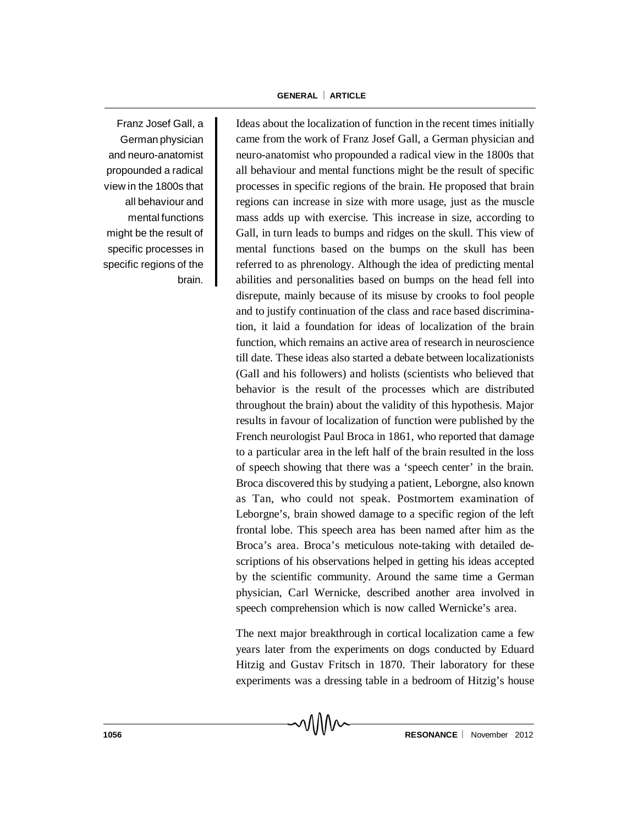Franz Josef Gall, a German physician and neuro-anatomist propounded a radical view in the 1800s that all behaviour and mental functions might be the result of specific processes in specific regions of the brain. Ideas about the localization of function in the recent times initially came from the work of Franz Josef Gall, a German physician and neuro-anatomist who propounded a radical view in the 1800s that all behaviour and mental functions might be the result of specific processes in specific regions of the brain. He proposed that brain regions can increase in size with more usage, just as the muscle mass adds up with exercise. This increase in size, according to Gall, in turn leads to bumps and ridges on the skull. This view of mental functions based on the bumps on the skull has been referred to as phrenology. Although the idea of predicting mental abilities and personalities based on bumps on the head fell into disrepute, mainly because of its misuse by crooks to fool people and to justify continuation of the class and race based discrimination, it laid a foundation for ideas of localization of the brain function, which remains an active area of research in neuroscience till date. These ideas also started a debate between localizationists (Gall and his followers) and holists (scientists who believed that behavior is the result of the processes which are distributed throughout the brain) about the validity of this hypothesis. Major results in favour of localization of function were published by the French neurologist Paul Broca in 1861, who reported that damage to a particular area in the left half of the brain resulted in the loss of speech showing that there was a 'speech center' in the brain. Broca discovered this by studying a patient, Leborgne, also known as Tan, who could not speak. Postmortem examination of Leborgne's, brain showed damage to a specific region of the left frontal lobe. This speech area has been named after him as the Broca's area. Broca's meticulous note-taking with detailed descriptions of his observations helped in getting his ideas accepted by the scientific community. Around the same time a German physician, Carl Wernicke, described another area involved in speech comprehension which is now called Wernicke's area.

The next major breakthrough in cortical localization came a few years later from the experiments on dogs conducted by Eduard Hitzig and Gustav Fritsch in 1870. Their laboratory for these experiments was a dressing table in a bedroom of Hitzig's house

∧∧∧∧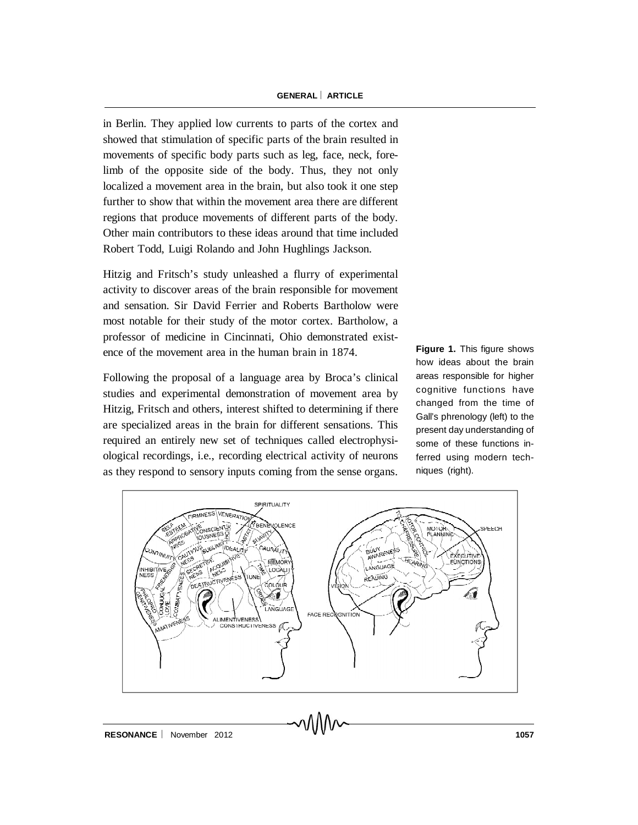in Berlin. They applied low currents to parts of the cortex and showed that stimulation of specific parts of the brain resulted in movements of specific body parts such as leg, face, neck, forelimb of the opposite side of the body. Thus, they not only localized a movement area in the brain, but also took it one step further to show that within the movement area there are different regions that produce movements of different parts of the body. Other main contributors to these ideas around that time included Robert Todd, Luigi Rolando and John Hughlings Jackson.

Hitzig and Fritsch's study unleashed a flurry of experimental activity to discover areas of the brain responsible for movement and sensation. Sir David Ferrier and Roberts Bartholow were most notable for their study of the motor cortex. Bartholow, a professor of medicine in Cincinnati, Ohio demonstrated existence of the movement area in the human brain in 1874.

Following the proposal of a language area by Broca's clinical studies and experimental demonstration of movement area by Hitzig, Fritsch and others, interest shifted to determining if there are specialized areas in the brain for different sensations. This required an entirely new set of techniques called electrophysiological recordings, i.e., recording electrical activity of neurons as they respond to sensory inputs coming from the sense organs.

**Figure 1.** This figure shows how ideas about the brain areas responsible for higher cognitive functions have changed from the time of Gall's phrenology (left) to the present day understanding of some of these functions inferred using modern techniques (right).



**RESONANCE** November 2012 **1057 1057**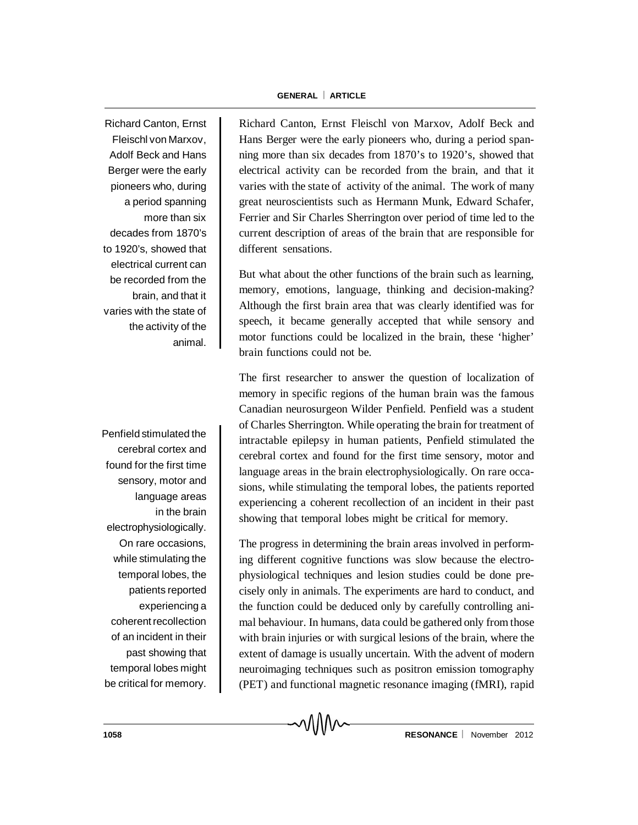Richard Canton, Ernst Fleischl von Marxov, Adolf Beck and Hans Berger were the early pioneers who, during a period spanning more than six decades from 1870's to 1920's, showed that electrical current can be recorded from the brain, and that it varies with the state of the activity of the animal.

Penfield stimulated the cerebral cortex and found for the first time sensory, motor and language areas in the brain electrophysiologically. On rare occasions, while stimulating the temporal lobes, the patients reported experiencing a coherent recollection of an incident in their past showing that temporal lobes might be critical for memory.

Richard Canton, Ernst Fleischl von Marxov, Adolf Beck and Hans Berger were the early pioneers who, during a period spanning more than six decades from 1870's to 1920's, showed that electrical activity can be recorded from the brain, and that it varies with the state of activity of the animal. The work of many great neuroscientists such as Hermann Munk, Edward Schafer, Ferrier and Sir Charles Sherrington over period of time led to the current description of areas of the brain that are responsible for different sensations.

But what about the other functions of the brain such as learning, memory, emotions, language, thinking and decision-making? Although the first brain area that was clearly identified was for speech, it became generally accepted that while sensory and motor functions could be localized in the brain, these 'higher' brain functions could not be.

The first researcher to answer the question of localization of memory in specific regions of the human brain was the famous Canadian neurosurgeon Wilder Penfield. Penfield was a student of Charles Sherrington. While operating the brain for treatment of intractable epilepsy in human patients, Penfield stimulated the cerebral cortex and found for the first time sensory, motor and language areas in the brain electrophysiologically. On rare occasions, while stimulating the temporal lobes, the patients reported experiencing a coherent recollection of an incident in their past showing that temporal lobes might be critical for memory.

The progress in determining the brain areas involved in performing different cognitive functions was slow because the electrophysiological techniques and lesion studies could be done precisely only in animals. The experiments are hard to conduct, and the function could be deduced only by carefully controlling animal behaviour. In humans, data could be gathered only from those with brain injuries or with surgical lesions of the brain, where the extent of damage is usually uncertain. With the advent of modern neuroimaging techniques such as positron emission tomography (PET) and functional magnetic resonance imaging (fMRI), rapid

MM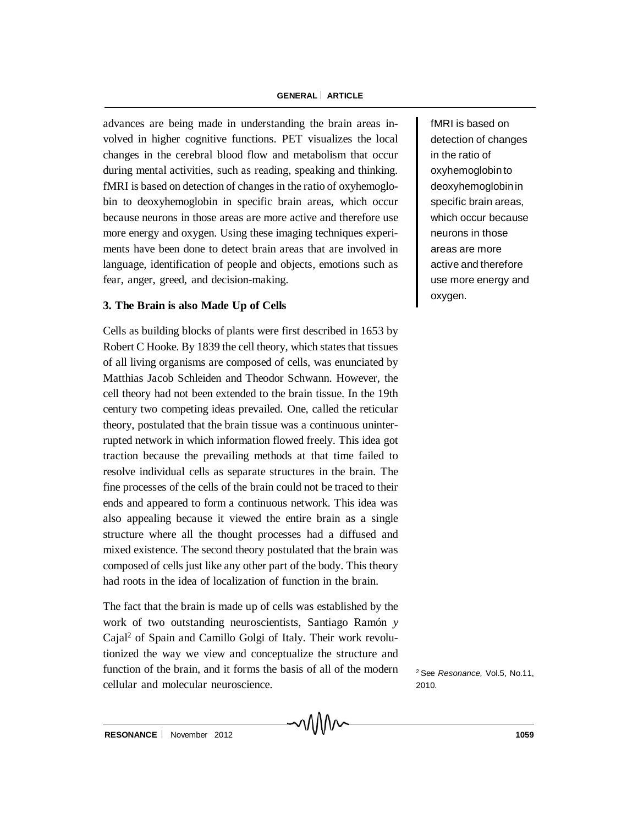advances are being made in understanding the brain areas involved in higher cognitive functions. PET visualizes the local changes in the cerebral blood flow and metabolism that occur during mental activities, such as reading, speaking and thinking. fMRI is based on detection of changes in the ratio of oxyhemoglobin to deoxyhemoglobin in specific brain areas, which occur because neurons in those areas are more active and therefore use more energy and oxygen. Using these imaging techniques experiments have been done to detect brain areas that are involved in language, identification of people and objects, emotions such as fear, anger, greed, and decision-making.

#### **3. The Brain is also Made Up of Cells**

Cells as building blocks of plants were first described in 1653 by Robert C Hooke. By 1839 the cell theory, which states that tissues of all living organisms are composed of cells, was enunciated by Matthias Jacob Schleiden and Theodor Schwann. However, the cell theory had not been extended to the brain tissue. In the 19th century two competing ideas prevailed. One, called the reticular theory, postulated that the brain tissue was a continuous uninterrupted network in which information flowed freely. This idea got traction because the prevailing methods at that time failed to resolve individual cells as separate structures in the brain. The fine processes of the cells of the brain could not be traced to their ends and appeared to form a continuous network. This idea was also appealing because it viewed the entire brain as a single structure where all the thought processes had a diffused and mixed existence. The second theory postulated that the brain was composed of cells just like any other part of the body. This theory had roots in the idea of localization of function in the brain.

The fact that the brain is made up of cells was established by the work of two outstanding neuroscientists, Santiago Ramón *y* Cajal2 of Spain and Camillo Golgi of Italy. Their work revolutionized the way we view and conceptualize the structure and function of the brain, and it forms the basis of all of the modern cellular and molecular neuroscience.

fMRI is based on detection of changes in the ratio of oxyhemoglobinto deoxyhemoglobin in specific brain areas, which occur because neurons in those areas are more active and therefore use more energy and oxygen.

<sup>2</sup> See *Resonance,* Vol.5, No.11, 2010*.*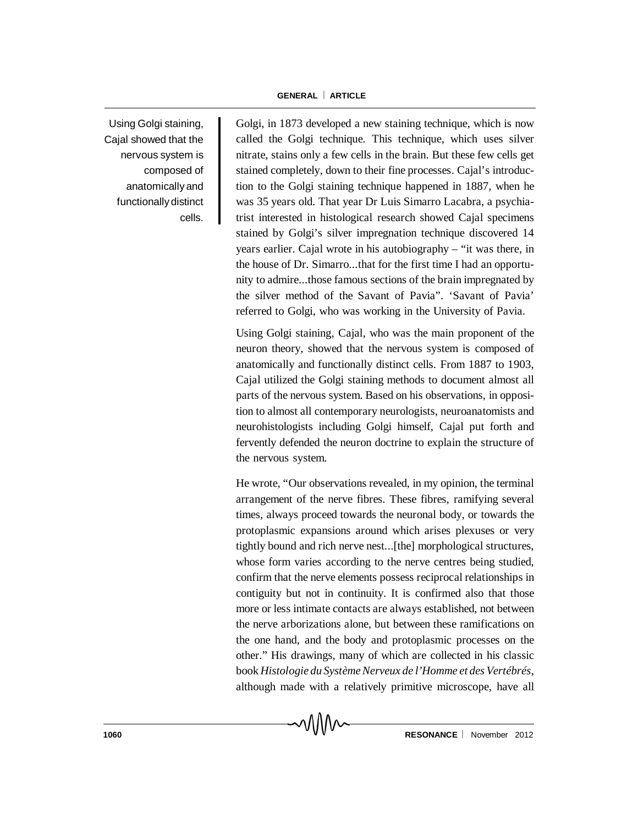Using Golgi staining, Cajal showed that the nervous system is composed of anatomically and functionally distinct cells.

Golgi, in 1873 developed a new staining technique, which is now called the Golgi technique. This technique, which uses silver nitrate, stains only a few cells in the brain. But these few cells get stained completely, down to their fine processes. Cajal's introduction to the Golgi staining technique happened in 1887, when he was 35 years old. That year Dr Luis Simarro Lacabra, a psychiatrist interested in histological research showed Cajal specimens stained by Golgi's silver impregnation technique discovered 14 years earlier. Cajal wrote in his autobiography – "it was there, in the house of Dr. Simarro...that for the first time I had an opportunity to admire...those famous sections of the brain impregnated by the silver method of the Savant of Pavia". 'Savant of Pavia' referred to Golgi, who was working in the University of Pavia.

Using Golgi staining, Cajal, who was the main proponent of the neuron theory, showed that the nervous system is composed of anatomically and functionally distinct cells. From 1887 to 1903, Cajal utilized the Golgi staining methods to document almost all parts of the nervous system. Based on his observations, in opposition to almost all contemporary neurologists, neuroanatomists and neurohistologists including Golgi himself, Cajal put forth and fervently defended the neuron doctrine to explain the structure of the nervous system.

He wrote, "Our observations revealed, in my opinion, the terminal arrangement of the nerve fibres. These fibres, ramifying several times, always proceed towards the neuronal body, or towards the protoplasmic expansions around which arises plexuses or very tightly bound and rich nerve nest...[the] morphological structures, whose form varies according to the nerve centres being studied, confirm that the nerve elements possess reciprocal relationships in contiguity but not in continuity. It is confirmed also that those more or less intimate contacts are always established, not between the nerve arborizations alone, but between these ramifications on the one hand, and the body and protoplasmic processes on the other." His drawings, many of which are collected in his classic book *Histologie du Système Nerveux de l'Homme et des Vertébrés*, although made with a relatively primitive microscope, have all

MM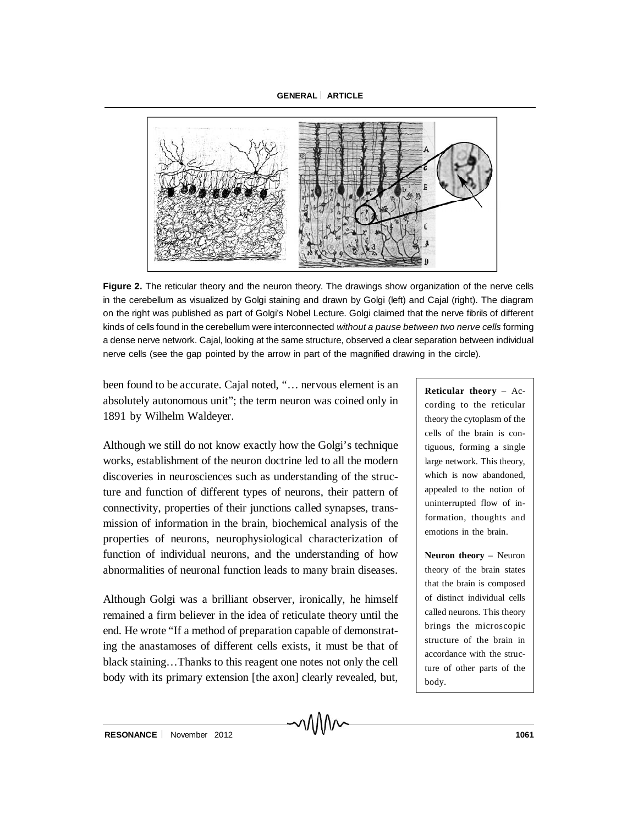

**Figure 2.** The reticular theory and the neuron theory. The drawings show organization of the nerve cells in the cerebellum as visualized by Golgi staining and drawn by Golgi (left) and Caial (right). The diagram on the right was published as part of Golgi's Nobel Lecture. Golgi claimed that the nerve fibrils of different kinds of cells found in the cerebellum were interconnected *without a pause between two nerve cells* forming a dense nerve network. Cajal, looking at the same structure, observed a clear separation between individual nerve cells (see the gap pointed by the arrow in part of the magnified drawing in the circle).

MM

been found to be accurate. Cajal noted, "… nervous element is an absolutely autonomous unit"; the term neuron was coined only in 1891 by Wilhelm Waldeyer.

Although we still do not know exactly how the Golgi's technique works, establishment of the neuron doctrine led to all the modern discoveries in neurosciences such as understanding of the structure and function of different types of neurons, their pattern of connectivity, properties of their junctions called synapses, transmission of information in the brain, biochemical analysis of the properties of neurons, neurophysiological characterization of function of individual neurons, and the understanding of how abnormalities of neuronal function leads to many brain diseases.

Although Golgi was a brilliant observer, ironically, he himself remained a firm believer in the idea of reticulate theory until the end. He wrote "If a method of preparation capable of demonstrating the anastamoses of different cells exists, it must be that of black staining…Thanks to this reagent one notes not only the cell body with its primary extension [the axon] clearly revealed, but,

**Reticular theory** – According to the reticular theory the cytoplasm of the cells of the brain is contiguous, forming a single large network. This theory, which is now abandoned, appealed to the notion of uninterrupted flow of information, thoughts and emotions in the brain.

**Neuron theory** – Neuron theory of the brain states that the brain is composed of distinct individual cells called neurons. This theory brings the microscopic structure of the brain in accordance with the structure of other parts of the body.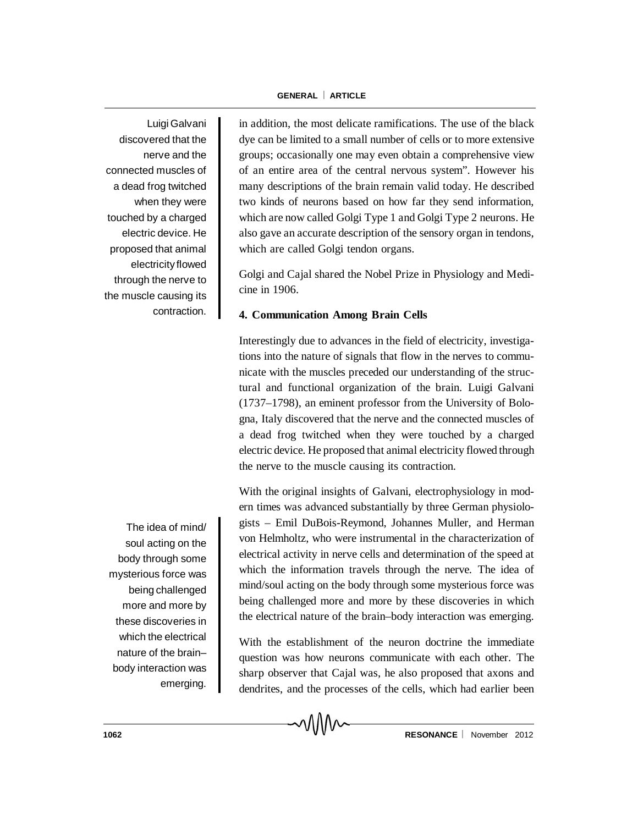Luigi Galvani discovered that the nerve and the connected muscles of a dead frog twitched when they were touched by a charged electric device. He proposed that animal electricity flowed through the nerve to the muscle causing its contraction.

The idea of mind/ soul acting on the body through some mysterious force was being challenged more and more by these discoveries in which the electrical nature of the brain– body interaction was emerging.

in addition, the most delicate ramifications. The use of the black dye can be limited to a small number of cells or to more extensive groups; occasionally one may even obtain a comprehensive view of an entire area of the central nervous system". However his many descriptions of the brain remain valid today. He described two kinds of neurons based on how far they send information, which are now called Golgi Type 1 and Golgi Type 2 neurons. He also gave an accurate description of the sensory organ in tendons, which are called Golgi tendon organs.

Golgi and Cajal shared the Nobel Prize in Physiology and Medicine in 1906.

## **4. Communication Among Brain Cells**

Interestingly due to advances in the field of electricity, investigations into the nature of signals that flow in the nerves to communicate with the muscles preceded our understanding of the structural and functional organization of the brain. Luigi Galvani (1737–1798), an eminent professor from the University of Bologna, Italy discovered that the nerve and the connected muscles of a dead frog twitched when they were touched by a charged electric device. He proposed that animal electricity flowed through the nerve to the muscle causing its contraction.

With the original insights of Galvani, electrophysiology in modern times was advanced substantially by three German physiologists – Emil DuBois-Reymond, Johannes Muller, and Herman von Helmholtz, who were instrumental in the characterization of electrical activity in nerve cells and determination of the speed at which the information travels through the nerve. The idea of mind/soul acting on the body through some mysterious force was being challenged more and more by these discoveries in which the electrical nature of the brain–body interaction was emerging.

With the establishment of the neuron doctrine the immediate question was how neurons communicate with each other. The sharp observer that Cajal was, he also proposed that axons and dendrites, and the processes of the cells, which had earlier been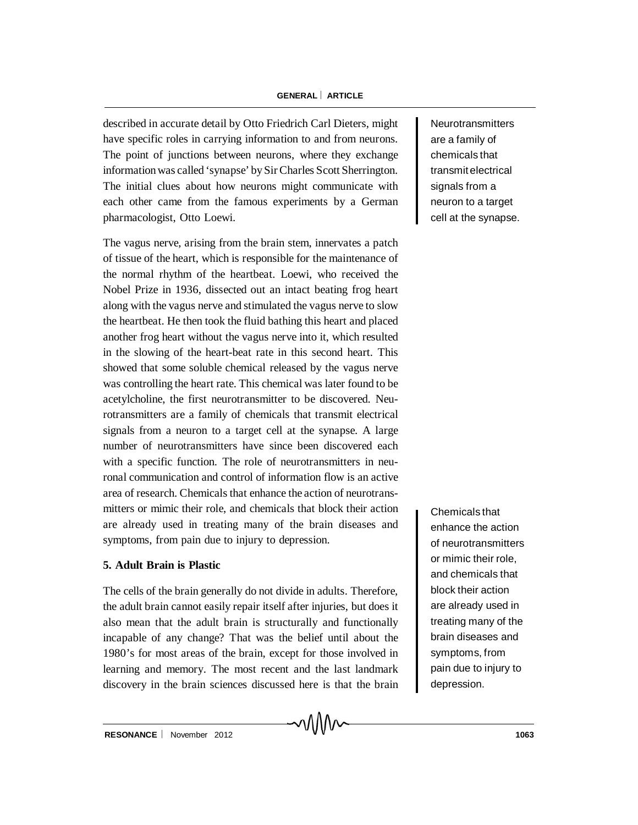described in accurate detail by Otto Friedrich Carl Dieters, might have specific roles in carrying information to and from neurons. The point of junctions between neurons, where they exchange information was called 'synapse' by Sir Charles Scott Sherrington. The initial clues about how neurons might communicate with each other came from the famous experiments by a German pharmacologist, Otto Loewi.

The vagus nerve, arising from the brain stem, innervates a patch of tissue of the heart, which is responsible for the maintenance of the normal rhythm of the heartbeat. Loewi, who received the Nobel Prize in 1936, dissected out an intact beating frog heart along with the vagus nerve and stimulated the vagus nerve to slow the heartbeat. He then took the fluid bathing this heart and placed another frog heart without the vagus nerve into it, which resulted in the slowing of the heart-beat rate in this second heart. This showed that some soluble chemical released by the vagus nerve was controlling the heart rate. This chemical was later found to be acetylcholine, the first neurotransmitter to be discovered. Neurotransmitters are a family of chemicals that transmit electrical signals from a neuron to a target cell at the synapse. A large number of neurotransmitters have since been discovered each with a specific function. The role of neurotransmitters in neuronal communication and control of information flow is an active area of research. Chemicals that enhance the action of neurotransmitters or mimic their role, and chemicals that block their action are already used in treating many of the brain diseases and symptoms, from pain due to injury to depression.

## **5. Adult Brain is Plastic**

The cells of the brain generally do not divide in adults. Therefore, the adult brain cannot easily repair itself after injuries, but does it also mean that the adult brain is structurally and functionally incapable of any change? That was the belief until about the 1980's for most areas of the brain, except for those involved in learning and memory. The most recent and the last landmark discovery in the brain sciences discussed here is that the brain

ላለለሁ

**Neurotransmitters** are a family of chemicals that transmit electrical signals from a neuron to a target cell at the synapse.

Chemicals that enhance the action of neurotransmitters or mimic their role, and chemicals that block their action are already used in treating many of the brain diseases and symptoms, from pain due to injury to depression.